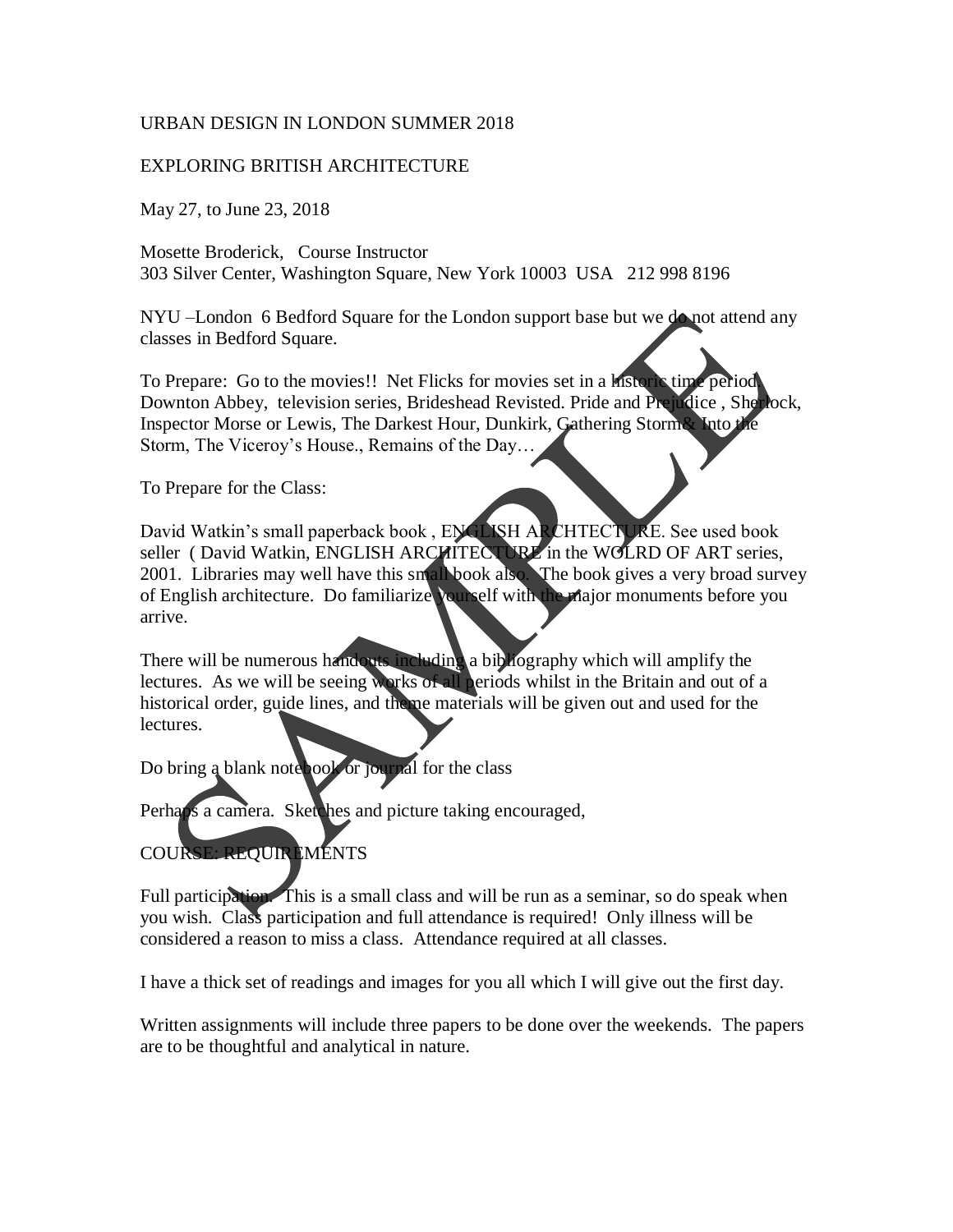## URBAN DESIGN IN LONDON SUMMER 2018

## EXPLORING BRITISH ARCHITECTURE

May 27, to June 23, 2018

Mosette Broderick, Course Instructor 303 Silver Center, Washington Square, New York 10003 USA 212 998 8196

NYU –London 6 Bedford Square for the London support base but we do not attend any classes in Bedford Square.

To Prepare: Go to the movies!! Net Flicks for movies set in a historic time period. Downton Abbey, television series, Brideshead Revisted. Pride and Prejudice , Sherlock, Inspector Morse or Lewis, The Darkest Hour, Dunkirk, Gathering Storm& Into the Storm, The Viceroy's House., Remains of the Day…

To Prepare for the Class:

David Watkin's small paperback book, ENGLISH ARCHTECTURE. See used book seller (David Watkin, ENGLISH ARCHITECTURE in the WOLRD OF ART series, 2001. Libraries may well have this small book also. The book gives a very broad survey of English architecture. Do familiarize yourself with the major monuments before you arrive.

There will be numerous handouts including a bibliography which will amplify the lectures. As we will be seeing works of all periods whilst in the Britain and out of a historical order, guide lines, and theme materials will be given out and used for the lectures.

Do bring a blank note book or journal for the class

Perhaps a camera. Sketches and picture taking encouraged,

## COURSE: REQUIREMENTS

Full participation. This is a small class and will be run as a seminar, so do speak when you wish. Class participation and full attendance is required! Only illness will be considered a reason to miss a class. Attendance required at all classes.

I have a thick set of readings and images for you all which I will give out the first day.

Written assignments will include three papers to be done over the weekends. The papers are to be thoughtful and analytical in nature.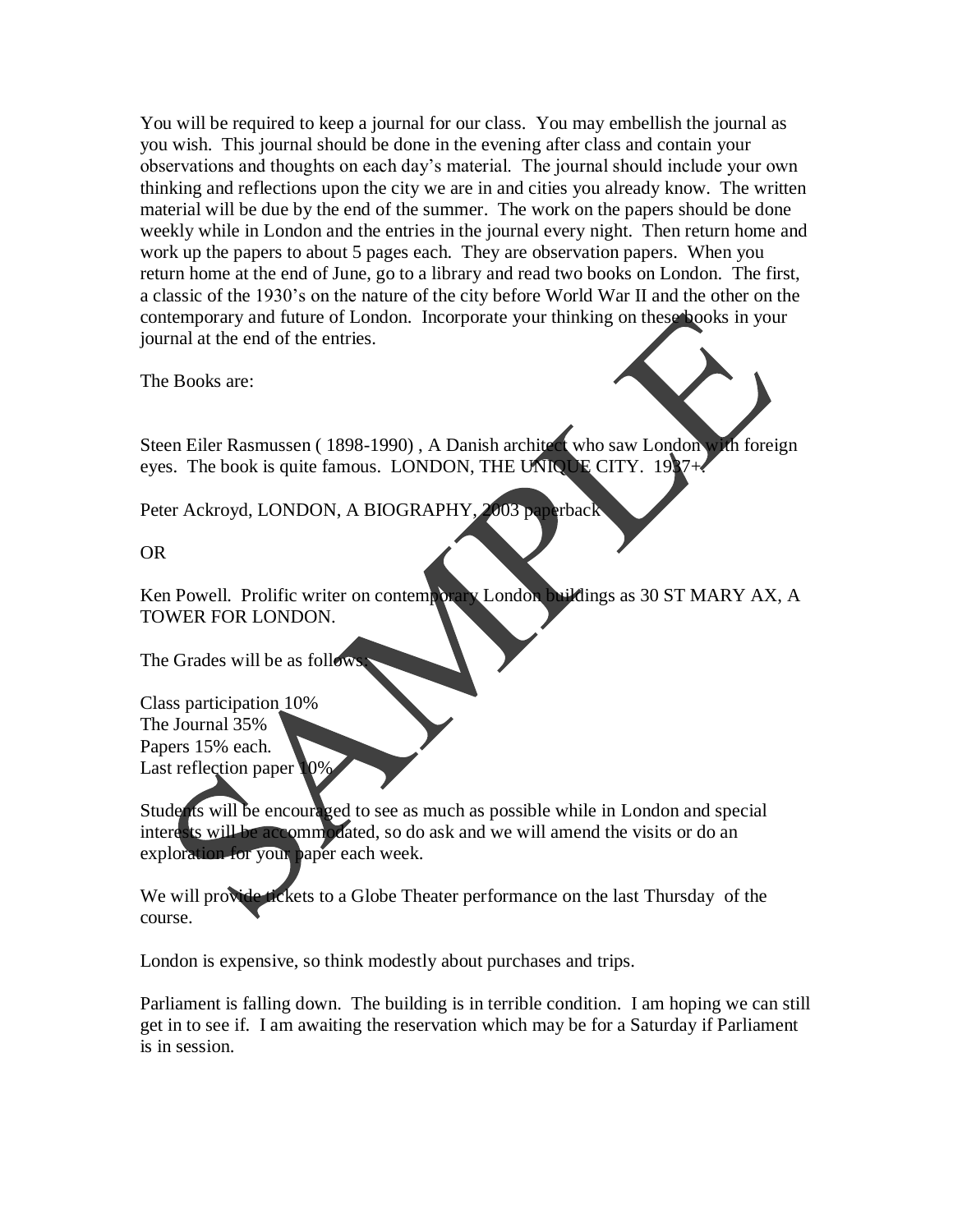You will be required to keep a journal for our class. You may embellish the journal as you wish. This journal should be done in the evening after class and contain your observations and thoughts on each day's material. The journal should include your own thinking and reflections upon the city we are in and cities you already know. The written material will be due by the end of the summer. The work on the papers should be done weekly while in London and the entries in the journal every night. Then return home and work up the papers to about 5 pages each. They are observation papers. When you return home at the end of June, go to a library and read two books on London. The first, a classic of the 1930's on the nature of the city before World War II and the other on the contemporary and future of London. Incorporate your thinking on these books in your journal at the end of the entries.

The Books are:

Steen Eiler Rasmussen (1898-1990), A Danish architect who saw London with foreign eyes. The book is quite famous. LONDON, THE UNIQUE CITY. 1937+.

Peter Ackroyd, LONDON, A BIOGRAPHY, 2003 paperback

OR

Ken Powell. Prolific writer on contemporary London buildings as 30 ST MARY AX, A TOWER FOR LONDON.

The Grades will be as follow

Class participation 10% The Journal 35% Papers 15% each. Last reflection paper 10%

Students will be encouraged to see as much as possible while in London and special interests will be accommodated, so do ask and we will amend the visits or do an exploration for your paper each week.

We will provide tickets to a Globe Theater performance on the last Thursday of the course.

London is expensive, so think modestly about purchases and trips.

Parliament is falling down. The building is in terrible condition. I am hoping we can still get in to see if. I am awaiting the reservation which may be for a Saturday if Parliament is in session.